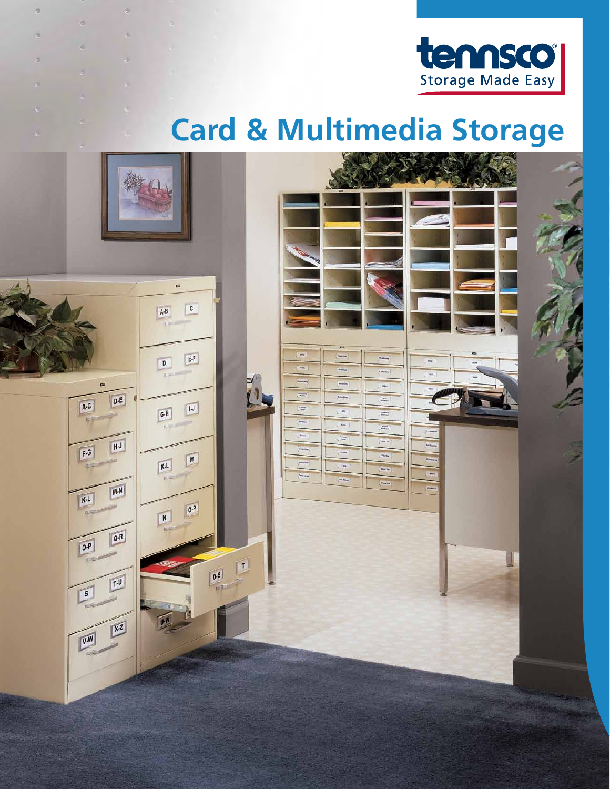

# **Card & Multimedia Storage**



e

×

ä

ö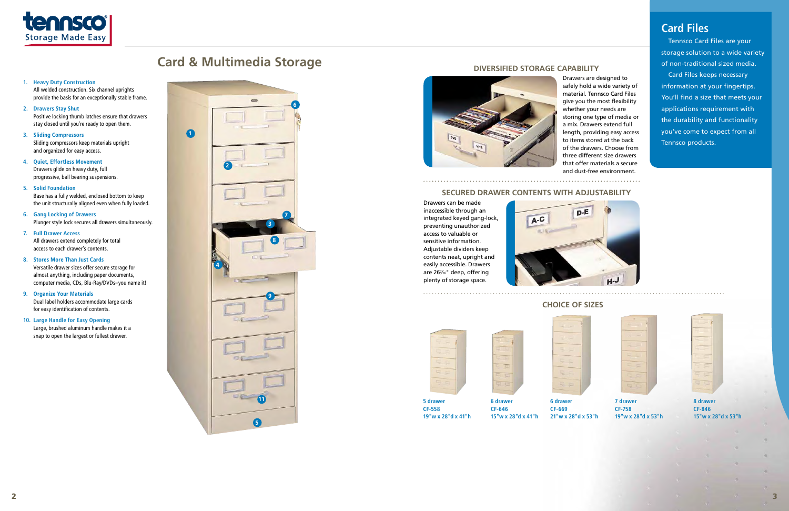

# **Card & Multimedia Storage**



All welded construction. Six channel uprights provide the basis for an exceptionally stable frame.

# **2. Drawers Stay Shut**

Positive locking thumb latches ensure that drawers stay closed until you're ready to open them.

# **3. Sliding Compressors**

Sliding compressors keep materials upright and organized for easy access.

**4. Quiet, Effortless Movement** Drawers glide on heavy duty, full progressive, ball bearing suspensions.

# **5. Solid Foundation**

Base has a fully welded, enclosed bottom to keep the unit structurally aligned even when fully loaded.

**6. Gang Locking of Drawers**  Plunger style lock secures all drawers simultaneously.

# **7. Full Drawer Access**

All drawers extend completely for total access to each drawer's contents.

# **8. Stores More Than Just Cards**

Versatile drawer sizes offer secure storage for almost anything, including paper documents, computer media, CDs, Blu-Ray/DVDs–you name it!

# **9. Organize Your Materials**

Dual label holders accommodate large cards for easy identification of contents.

# **10. Large Handle for Easy Opening**

Large, brushed aluminum handle makes it a snap to open the largest or fullest drawer.



Drawers are designed to safely hold a wide variety of material. Tennsco Card Files give you the most flexibility whether your needs are storing one type of media or a mix. Drawers extend full length, providing easy access to items stored at the back of the drawers. Choose from three different size drawers that offer materials a secure and dust-free environment.

# **Secured Drawer Contents with Adjustability**

Drawers can be made inaccessible through an integrated keyed gang-lock, preventing unauthorized access to valuable or sensitive information. Adjustable dividers keep contents neat, upright and easily accessible. Drawers are 267 ⁄16" deep, offering plenty of storage space.



# **Diversified Storage Capability**



# **Choice of Sizes**

|   | ٠ | ī |  |
|---|---|---|--|
|   |   |   |  |
| ٦ |   |   |  |
| ٠ | ł |   |  |
|   | ł |   |  |

**5 drawer CF-558**

**19"w x 28"d x 41"h**



**6 drawer CF-646 15"w x 28"d x 41"h**

**CF-669**



**21"w x 28"d x 53"h**

**7 drawer CF-758**

**19"w x 28"d x 53"h**

**8 drawer CF-846 15"w x 28"d x 53"h**

# **Card Files**

Tennsco Card Files are your storage solution to a wide variety of non-traditional sized media. Card Files keeps necessary information at your fingertips. You'll find a size that meets your applications requirement with the durability and functionality you've come to expect from all Tennsco products.

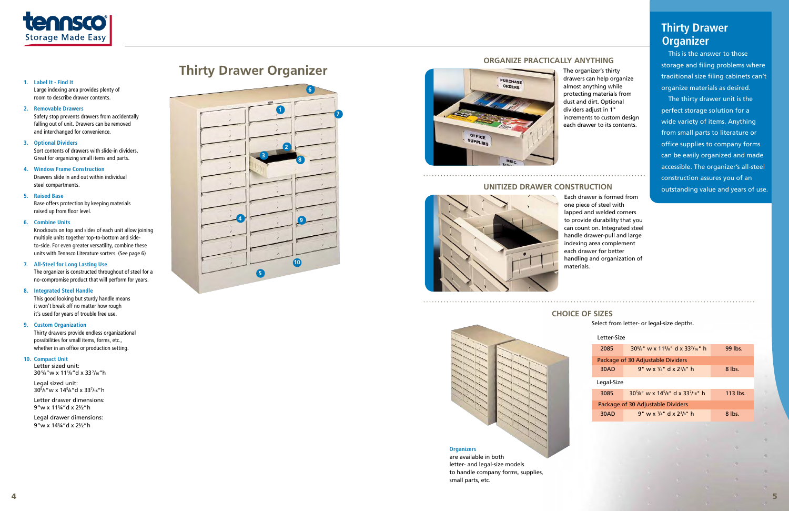

drawers can help organize almost anything while protecting materials from dust and dirt. Optional dividers adjust in 1" increments to custom design each drawer to its contents.

# **Unitized Drawer Construction**



Each drawer is formed from one piece of steel with lapped and welded corners to provide durability that you can count on. Integrated steel handle drawer-pull and large indexing area complement each drawer for better handling and organization of materials.

# 



# **Organize Practically Anything**

# **Choice of Sizes**

Select from letter- or legal-size depths.

| Letter-Size                       |                                                                              |            |  |  |
|-----------------------------------|------------------------------------------------------------------------------|------------|--|--|
| 2085                              | $30^{5}/s$ " w x 11 <sup>5</sup> /s" d x 33 <sup>7</sup> / <sub>16</sub> " h | $99$ lbs.  |  |  |
| Package of 30 Adjustable Dividers |                                                                              |            |  |  |
| 30AD                              | $9"$ w x $\frac{1}{4}$ " d x $2\frac{3}{8}$ " h                              | 8 lbs.     |  |  |
| Legal-Size                        |                                                                              |            |  |  |
| 3085                              | $305/s$ " w x 14 <sup>5</sup> /s" d x 33 <sup>7</sup> /16" h                 | $113$ lbs. |  |  |
| Package of 30 Adjustable Dividers |                                                                              |            |  |  |
| 30AD                              | 9" w x $\frac{1}{4}$ " d x $\frac{1}{3}$ %" h                                | 8 lbs.     |  |  |

# **Organizers**

are available in both letter- and legal-size models to handle company forms, supplies, small parts, etc.



# **1. Label It - Find It**

Large indexing area provides plenty of room to describe drawer contents.

# **2. Removable Drawers**

Legal sized unit: 305/8"w x 145/8"d x 337/16"h

Safety stop prevents drawers from accidentally falling out of unit. Drawers can be removed and interchanged for convenience.

## **3. Optional Dividers**

Sort contents of drawers with slide-in dividers. Great for organizing small items and parts.

# **4. Window Frame Construction** Drawers slide in and out within individual steel compartments.

## **5. Raised Base**

Base offers protection by keeping materials raised up from floor level.

# **6. Combine Units**

Knockouts on top and sides of each unit allow joining multiple units together top-to-bottom and sideto-side. For even greater versatility, combine these units with Tennsco Literature sorters. (See page 6)

## **7. All-Steel for Long Lasting Use**

The organizer is constructed throughout of steel for a no-compromise product that will perform for years.

## **8. Integrated Steel Handle**

This good looking but sturdy handle means it won't break off no matter how rough it's used for years of trouble free use.

# **9. Custom Organization**

Thirty drawers provide endless organizational possibilities for small items, forms, etc., whether in an office or production setting.

## **10. Compact Unit**

Letter sized unit: 305 /8"w x 115 /8"d x 337 /16"h

Letter drawer dimensions: 9"w x 11¼"d x 2½"h

Legal drawer dimensions: 9"w x 14¼"d x 2½"h

# **Thirty Drawer Organizer**

This is the answer to those storage and filing problems where traditional size filing cabinets can't organize materials as desired.

The thirty drawer unit is the perfect storage solution for a wide variety of items. Anything from small parts to literature or office supplies to company forms can be easily organized and made accessible. The organizer's all-steel construction assures you of an outstanding value and years of use.

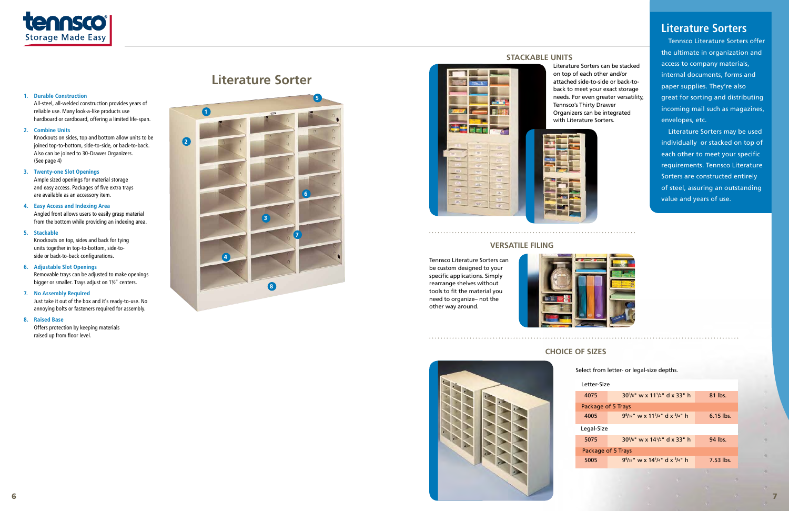# **Literature Sorter**



# **1. Durable Construction**

All-steel, all-welded construction provides years of reliable use. Many look-a-like products use hardboard or cardboard, offering a limited life-span.

# **2. Combine Units**

Knockouts on sides, top and bottom allow units to be joined top-to-bottom, side-to-side, or back-to-back. Also can be joined to 30-Drawer Organizers. (See page 4)

# **3. Twenty-one Slot Openings**

Ample sized openings for material storage and easy access. Packages of five extra trays are available as an accessory item.

# **4. Easy Access and Indexing Area**

Angled front allows users to easily grasp material from the bottom while providing an indexing area.

# **5. Stackable**

Knockouts on top, sides and back for tying units together in top-to-bottom, side-toside or back-to-back configurations.

# **6. Adjustable Slot Openings**

Removable trays can be adjusted to make openings bigger or smaller. Trays adjust on 1½" centers.

# **7. No Assembly Required**

Just take it out of the box and it's ready-to-use. No annoying bolts or fasteners required for assembly.

# **8. Raised Base**

Offers protection by keeping materials raised up from floor level.



7

75

Literature Sorters can be stacked on top of each other and/or attached side-to-side or back-toback to meet your exact storage needs. For even greater versatility, Tennsco's Thirty Drawer Organizers can be integrated with Literature Sorters.



# **Versatile Filing**

Tennsco Literature Sorters can be custom designed to your specific applications. Simply rearrange shelves without tools to fit the material you need to organize– not the other way around.



**Stackable Units**

# **Choice of Sizes**



Select from letter- or legal-size depths.

| Letter-Size        |                                                                                                |             |  |  |
|--------------------|------------------------------------------------------------------------------------------------|-------------|--|--|
| 4075               | $30\frac{5}{8}$ " w x 11 $\frac{1}{2}$ " d x 33" h                                             | 81 lbs.     |  |  |
| Package of 5 Trays |                                                                                                |             |  |  |
| 4005               | $9\%$ <sub>32</sub> " w x 11 <sup>1</sup> / <sub>4</sub> " d x <sup>3</sup> / <sub>4</sub> " h | $6.15$ lbs. |  |  |
| Legal-Size         |                                                                                                |             |  |  |
| 5075               | $30\frac{5}{8}$ " w x $14\frac{1}{2}$ " d x 33" h                                              | 94 lbs.     |  |  |
| Package of 5 Trays |                                                                                                |             |  |  |
| 5005               | $9\%$ <sub>32</sub> " w x 14 <sup>1</sup> / <sub>4</sub> " d x <sup>3</sup> / <sub>4</sub> " h | $7.53$ lbs. |  |  |



Tennsco Literature Sorters offer the ultimate in organization and access to company materials, internal documents, forms and paper supplies. They're also great for sorting and distributing incoming mail such as magazines, envelopes, etc.

Literature Sorters may be used individually or stacked on top of each other to meet your specific requirements. Tennsco Literature Sorters are constructed entirely of steel, assuring an outstanding value and years of use.